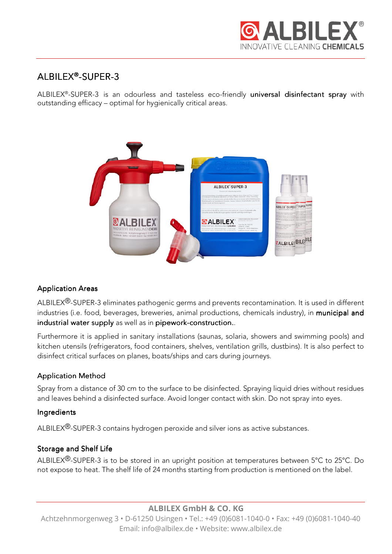

# ALBILEX®-SUPER-3

ALBILEX®-SUPER-3 is an odourless and tasteless eco-friendly universal disinfectant spray with outstanding efficacy – optimal for hygienically critical areas.



## **Application Areas**

ALBILEX<sup>®</sup>-SUPER-3 eliminates pathogenic germs and prevents recontamination. It is used in different industries (i.e. food, beverages, breweries, animal productions, chemicals industry), in municipal and industrial water supply as well as in pipework-construction..

Furthermore it is applied in sanitary installations (saunas, solaria, showers and swimming pools) and kitchen utensils (refrigerators, food containers, shelves, ventilation grills, dustbins). It is also perfect to disinfect critical surfaces on planes, boats/ships and cars during journeys.

## **Application Method**

Spray from a distance of 30 cm to the surface to be disinfected. Spraying liquid dries without residues and leaves behind a disinfected surface. Avoid longer contact with skin. Do not spray into eyes.

## **Ingredients**

ALBILEX<sup>®</sup>-SUPER-3 contains hydrogen peroxide and silver ions as active substances.

## Storage and Shelf Life

ALBILEX<sup>®</sup>-SUPER-3 is to be stored in an upright position at temperatures between 5°C to 25°C. Do not expose to heat. The shelf life of 24 months starting from production is mentioned on the label.

**ALBILEX GmbH & CO. KG** 

Achtzehnmorgenweg 3 • D-61250 Usingen • Tel.: +49 (0)6081-1040-0 • Fax: +49 (0)6081-1040-40 Email: info@albilex.de • Website: www.albilex.de